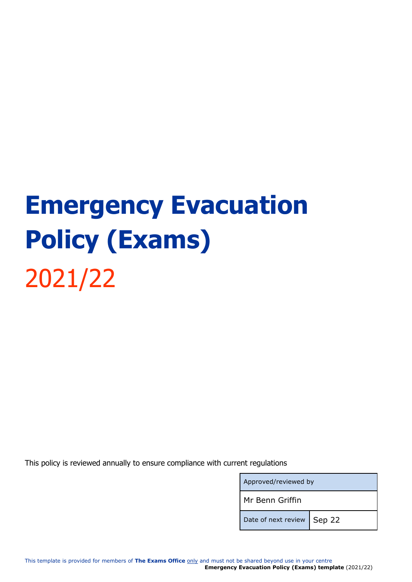# **Emergency Evacuation Policy (Exams)** 2021/22

This policy is reviewed annually to ensure compliance with current regulations

| Approved/reviewed by         |  |
|------------------------------|--|
| Mr Benn Griffin              |  |
| Date of next review   Sep 22 |  |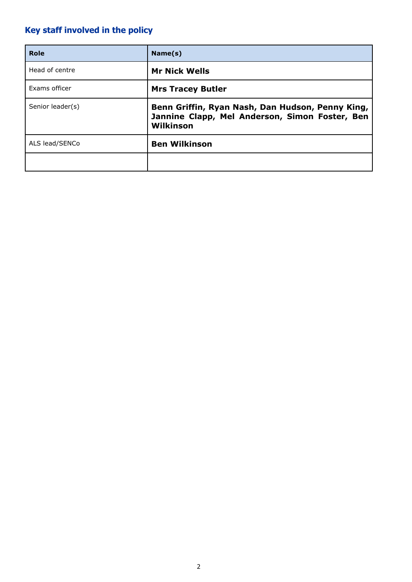# **Key staff involved in the policy**

| Role             | Name(s)                                                                                                         |
|------------------|-----------------------------------------------------------------------------------------------------------------|
| Head of centre   | <b>Mr Nick Wells</b>                                                                                            |
| Exams officer    | <b>Mrs Tracey Butler</b>                                                                                        |
| Senior leader(s) | Benn Griffin, Ryan Nash, Dan Hudson, Penny King,<br>Jannine Clapp, Mel Anderson, Simon Foster, Ben<br>Wilkinson |
| ALS lead/SENCo   | <b>Ben Wilkinson</b>                                                                                            |
|                  |                                                                                                                 |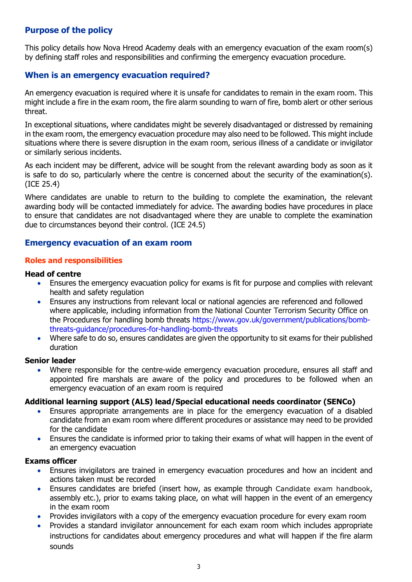# **Purpose of the policy**

This policy details how Nova Hreod Academy deals with an emergency evacuation of the exam room(s) by defining staff roles and responsibilities and confirming the emergency evacuation procedure.

# **When is an emergency evacuation required?**

An emergency evacuation is required where it is unsafe for candidates to remain in the exam room. This might include a fire in the exam room, the fire alarm sounding to warn of fire, bomb alert or other serious threat.

In exceptional situations, where candidates might be severely disadvantaged or distressed by remaining in the exam room, the emergency evacuation procedure may also need to be followed. This might include situations where there is severe disruption in the exam room, serious illness of a candidate or invigilator or similarly serious incidents.

As each incident may be different, advice will be sought from the relevant awarding body as soon as it is safe to do so, particularly where the centre is concerned about the security of the examination(s). (ICE 25.4)

Where candidates are unable to return to the building to complete the examination, the relevant awarding body will be contacted immediately for advice. The awarding bodies have procedures in place to ensure that candidates are not disadvantaged where they are unable to complete the examination due to circumstances beyond their control. (ICE 24.5)

## **Emergency evacuation of an exam room**

#### **Roles and responsibilities**

#### **Head of centre**

- Ensures the emergency evacuation policy for exams is fit for purpose and complies with relevant health and safety regulation
- Ensures any instructions from relevant local or national agencies are referenced and followed where applicable, including information from the National Counter Terrorism Security Office on the Procedures for handling bomb threats [https://www.gov.uk/government/publications/bomb](https://www.gov.uk/government/publications/bomb-threats-guidance/procedures-for-handling-bomb-threats)[threats-guidance/procedures-for-handling-bomb-threats](https://www.gov.uk/government/publications/bomb-threats-guidance/procedures-for-handling-bomb-threats)
- Where safe to do so, ensures candidates are given the opportunity to sit exams for their published duration

#### **Senior leader**

• Where responsible for the centre-wide emergency evacuation procedure, ensures all staff and appointed fire marshals are aware of the policy and procedures to be followed when an emergency evacuation of an exam room is required

#### **Additional learning support (ALS) lead/Special educational needs coordinator (SENCo)**

- Ensures appropriate arrangements are in place for the emergency evacuation of a disabled candidate from an exam room where different procedures or assistance may need to be provided for the candidate
- Ensures the candidate is informed prior to taking their exams of what will happen in the event of an emergency evacuation

#### **Exams officer**

- Ensures invigilators are trained in emergency evacuation procedures and how an incident and actions taken must be recorded
- Ensures candidates are briefed (insert how, as example through Candidate exam handbook, assembly etc.), prior to exams taking place, on what will happen in the event of an emergency in the exam room
- Provides invigilators with a copy of the emergency evacuation procedure for every exam room
- Provides a standard invigilator announcement for each exam room which includes appropriate instructions for candidates about emergency procedures and what will happen if the fire alarm sounds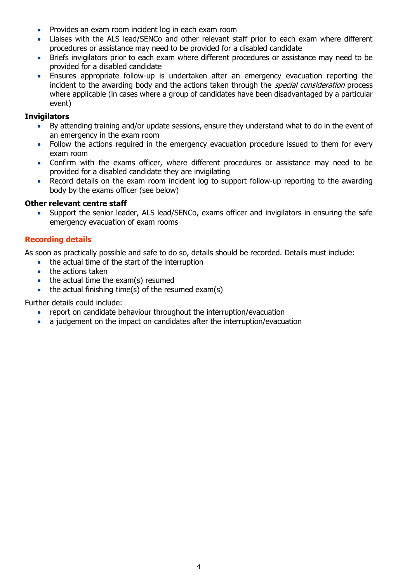- Provides an exam room incident log in each exam room
- Liaises with the ALS lead/SENCo and other relevant staff prior to each exam where different procedures or assistance may need to be provided for a disabled candidate
- Briefs invigilators prior to each exam where different procedures or assistance may need to be provided for a disabled candidate
- Ensures appropriate follow-up is undertaken after an emergency evacuation reporting the incident to the awarding body and the actions taken through the *special consideration* process where applicable (in cases where a group of candidates have been disadvantaged by a particular event)

## **Invigilators**

- By attending training and/or update sessions, ensure they understand what to do in the event of an emergency in the exam room
- Follow the actions required in the emergency evacuation procedure issued to them for every exam room
- Confirm with the exams officer, where different procedures or assistance may need to be provided for a disabled candidate they are invigilating
- Record details on the exam room incident log to support follow-up reporting to the awarding body by the exams officer (see below)

#### **Other relevant centre staff**

• Support the senior leader, ALS lead/SENCo, exams officer and invigilators in ensuring the safe emergency evacuation of exam rooms

#### **Recording details**

As soon as practically possible and safe to do so, details should be recorded. Details must include:

- the actual time of the start of the interruption
- the actions taken
- the actual time the exam(s) resumed
- the actual finishing time(s) of the resumed exam(s)

Further details could include:

- report on candidate behaviour throughout the interruption/evacuation
- a judgement on the impact on candidates after the interruption/evacuation